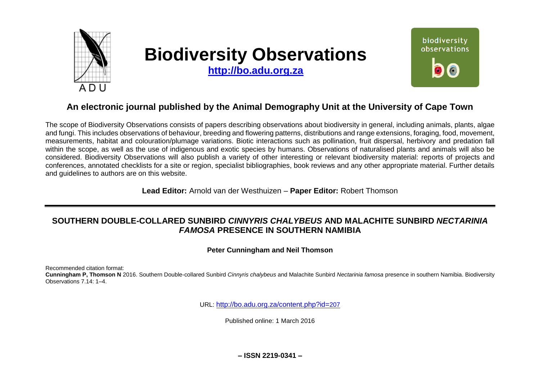

# **Biodiversity Observations**

**[http://bo.adu.org.za](http://bo.adu.org.za/)**



## **An electronic journal published by the Animal Demography Unit at the University of Cape Town**

The scope of Biodiversity Observations consists of papers describing observations about biodiversity in general, including animals, plants, algae and fungi. This includes observations of behaviour, breeding and flowering patterns, distributions and range extensions, foraging, food, movement, measurements, habitat and colouration/plumage variations. Biotic interactions such as pollination, fruit dispersal, herbivory and predation fall within the scope, as well as the use of indigenous and exotic species by humans. Observations of naturalised plants and animals will also be considered. Biodiversity Observations will also publish a variety of other interesting or relevant biodiversity material: reports of projects and conferences, annotated checklists for a site or region, specialist bibliographies, book reviews and any other appropriate material. Further details and guidelines to authors are on this website.

**Lead Editor:** Arnold van der Westhuizen – **Paper Editor:** Robert Thomson

## **SOUTHERN DOUBLE-COLLARED SUNBIRD** *CINNYRIS CHALYBEUS* **AND MALACHITE SUNBIRD** *NECTARINIA FAMOSA* **PRESENCE IN SOUTHERN NAMIBIA**

**Peter Cunningham and Neil Thomson**

Recommended citation format:

**Cunningham P, Thomson N** 2016. Southern Double-collared Sunbird *Cinnyris chalybeus* and Malachite Sunbird *Nectarinia famosa* presence in southern Namibia. Biodiversity Observations 7.14: 1–4.

URL: [http://bo.adu.org.za/content.php?id=](http://bo.adu.org.za/content.php?id=207)207

Published online: 1 March 2016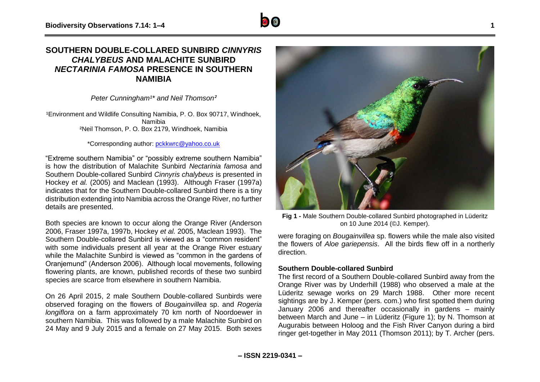### **SOUTHERN DOUBLE-COLLARED SUNBIRD** *CINNYRIS CHALYBEUS* **AND MALACHITE SUNBIRD**  *NECTARINIA FAMOSA* **PRESENCE IN SOUTHERN NAMIBIA**

*Peter Cunningham<sup>1\*</sup> and Neil Thomson<sup>2</sup>* 

<sup>1</sup>Environment and Wildlife Consulting Namibia, P. O. Box 90717, Windhoek, Namibia ²Neil Thomson, P. O. Box 2179, Windhoek, Namibia

\*Corresponding author: [pckkwrc@yahoo.co.uk](mailto:pckkwrc@yahoo.co.uk)

"Extreme southern Namibia" or "possibly extreme southern Namibia" is how the distribution of Malachite Sunbird *Nectarinia famosa* and Southern Double-collared Sunbird *Cinnyris chalybeus* is presented in Hockey *et al.* (2005) and Maclean (1993). Although Fraser (1997a) indicates that for the Southern Double-collared Sunbird there is a tiny distribution extending into Namibia across the Orange River, no further details are presented.

Both species are known to occur along the Orange River (Anderson 2006, Fraser 1997a, 1997b, Hockey *et al.* 2005, Maclean 1993). The Southern Double-collared Sunbird is viewed as a "common resident" with some individuals present all year at the Orange River estuary while the Malachite Sunbird is viewed as "common in the gardens of Oranjemund" (Anderson 2006). Although local movements, following flowering plants, are known, published records of these two sunbird species are scarce from elsewhere in southern Namibia.

On 26 April 2015, 2 male Southern Double-collared Sunbirds were observed foraging on the flowers of *Bougainvillea* sp. and *Rogeria longiflora* on a farm approximately 70 km north of Noordoewer in southern Namibia. This was followed by a male Malachite Sunbird on 24 May and 9 July 2015 and a female on 27 May 2015. Both sexes



**Fig 1 -** Male Southern Double-collared Sunbird photographed in Lüderitz on 10 June 2014 (©J. Kemper).

were foraging on *Bougainvillea* sp. flowers while the male also visited the flowers of *Aloe gariepensis*. All the birds flew off in a northerly direction.

#### **Southern Double-collared Sunbird**

The first record of a Southern Double-collared Sunbird away from the Orange River was by Underhill (1988) who observed a male at the Lüderitz sewage works on 29 March 1988. Other more recent sightings are by J. Kemper (pers. com.) who first spotted them during January 2006 and thereafter occasionally in gardens – mainly between March and June – in Lüderitz (Figure 1); by N. Thomson at Augurabis between Holoog and the Fish River Canyon during a bird ringer get-together in May 2011 (Thomson 2011); by T. Archer (pers.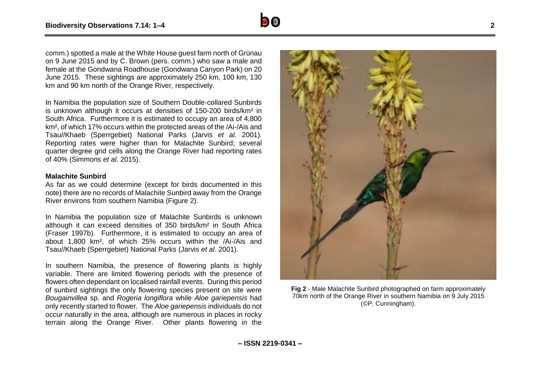

In Namibia the population size of Southern Double-collared Sunbirds is unknown although it occurs at densities of 150-200 birds/km² in South Africa. Furthermore it is estimated to occupy an area of 4,800 km², of which 17% occurs within the protected areas of the /Ai-/Ais and Tsau//Khaeb (Sperrgebiet) National Parks (Jarvis *et al.* 2001). Reporting rates were higher than for Malachite Sunbird; several quarter degree grid cells along the Orange River had reporting rates of 40% (Simmons *et al.* 2015).

#### **Malachite Sunbird**

As far as we could determine (except for birds documented in this note) there are no records of Malachite Sunbird away from the Orange River environs from southern Namibia (Figure 2).

In Namibia the population size of Malachite Sunbirds is unknown although it can exceed densities of 350 birds/km² in South Africa (Fraser 1997b). Furthermore, it is estimated to occupy an area of about 1,800 km², of which 25% occurs within the /Ai-/Ais and Tsau//Khaeb (Sperrgebiet) National Parks (Jarvis *et al.* 2001).

In southern Namibia, the presence of flowering plants is highly variable. There are limited flowering periods with the presence of flowers often dependant on localised rainfall events. During this period of sunbird sightings the only flowering species present on site were *Bougainvillea* sp. and *Rogeria longiflora* while *Aloe gariepensis* had only recently started to flower. The *Aloe gariepensis* individuals do not occur naturally in the area, although are numerous in places in rocky terrain along the Orange River. Other plants flowering in the



**Fig 2** - Male Malachite Sunbird photographed on farm approximately 70km north of the Orange River in southern Namibia on 9 July 2015 (©P. Cunningham).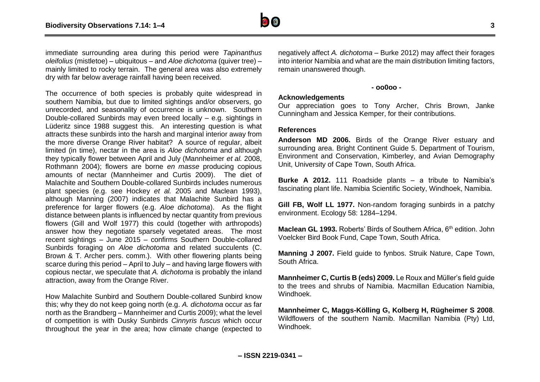

immediate surrounding area during this period were *Tapinanthus oleifolius* (mistletoe) – ubiquitous – and *Aloe dichotoma* (quiver tree) – mainly limited to rocky terrain. The general area was also extremely dry with far below average rainfall having been received.

The occurrence of both species is probably quite widespread in southern Namibia, but due to limited sightings and/or observers, go unrecorded, and seasonality of occurrence is unknown. Southern Double-collared Sunbirds may even breed locally – e.g. sightings in Lüderitz since 1988 suggest this. An interesting question is what attracts these sunbirds into the harsh and marginal interior away from the more diverse Orange River habitat? A source of regular, albeit limited (in time), nectar in the area is *Aloe dichotoma* and although they typically flower between April and July (Mannheimer *et al.* 2008, Rothmann 2004); flowers are borne *en masse* producing copious amounts of nectar (Mannheimer and Curtis 2009). The diet of Malachite and Southern Double-collared Sunbirds includes numerous plant species (e.g. see Hockey *et al.* 2005 and Maclean 1993), although Manning (2007) indicates that Malachite Sunbird has a preference for larger flowers (e.g. *Aloe dichotoma*). As the flight distance between plants is influenced by nectar quantity from previous flowers (Gill and Wolf 1977) this could (together with arthropods) answer how they negotiate sparsely vegetated areas. The most recent sightings – June 2015 – confirms Southern Double-collared Sunbirds foraging on *Aloe dichotoma* and related succulents (C. Brown & T. Archer pers. comm.). With other flowering plants being scarce during this period – April to July – and having large flowers with copious nectar, we speculate that *A. dichotoma* is probably the inland attraction, away from the Orange River.

How Malachite Sunbird and Southern Double-collared Sunbird know this; why they do not keep going north (e.g. *A. dichotoma* occur as far north as the Brandberg – Mannheimer and Curtis 2009); what the level of competition is with Dusky Sunbirds *Cinnyris fuscus* which occur throughout the year in the area; how climate change (expected to

negatively affect *A. dichotoma* – Burke 2012) may affect their forages into interior Namibia and what are the main distribution limiting factors, remain unanswered though.

#### **- oo0oo -**

#### **Acknowledgements**

Our appreciation goes to Tony Archer, Chris Brown, Janke Cunningham and Jessica Kemper, for their contributions.

#### **References**

**Anderson MD 2006.** Birds of the Orange River estuary and surrounding area. Bright Continent Guide 5. Department of Tourism, Environment and Conservation, Kimberley, and Avian Demography Unit, University of Cape Town, South Africa.

**Burke A 2012.** 111 Roadside plants – a tribute to Namibia's fascinating plant life. Namibia Scientific Society, Windhoek, Namibia.

**Gill FB, Wolf LL 1977.** Non-random foraging sunbirds in a patchy environment. Ecology 58: 1284–1294.

**Maclean GL 1993.** Roberts' Birds of Southern Africa, 6<sup>th</sup> edition. John Voelcker Bird Book Fund, Cape Town, South Africa.

**Manning J 2007.** Field guide to fynbos. Struik Nature, Cape Town, South Africa.

**Mannheimer C, Curtis B (eds) 2009.** Le Roux and Müller's field guide to the trees and shrubs of Namibia. Macmillan Education Namibia, Windhoek.

**Mannheimer C, Maggs-Kölling G, Kolberg H, Rügheimer S 2008**. Wildflowers of the southern Namib. Macmillan Namibia (Pty) Ltd, Windhoek.